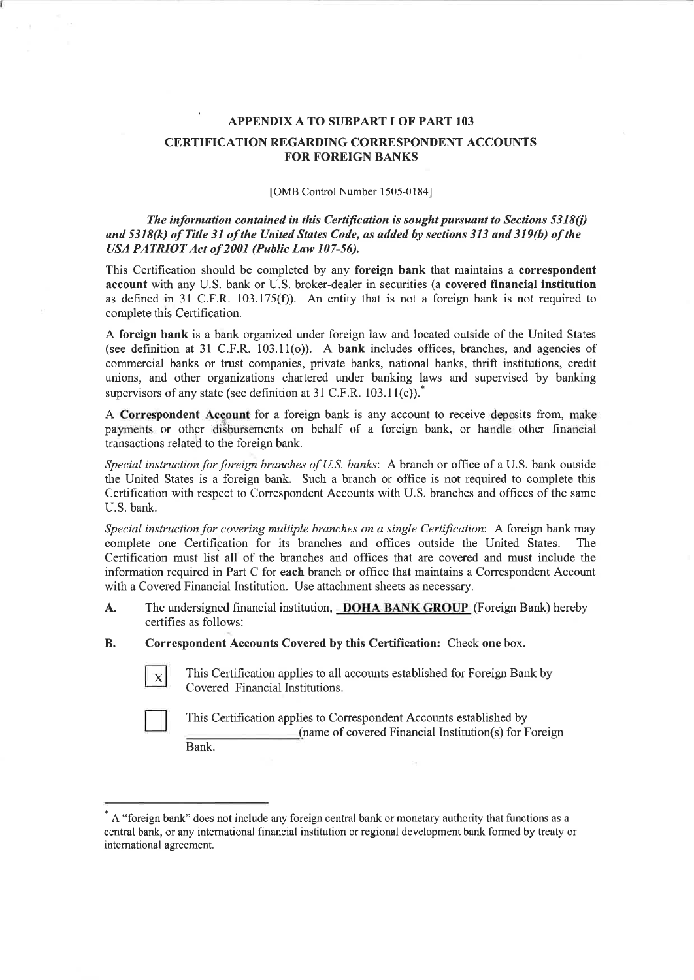# APPENDIX A TO SUBPART I OF PART 103 CERTIFICATION REGARDING CORRESPONDENT ACCOUNTS FOR FOREIGN BANKS

#### [OMB Control Number 1505-0184]

### The information contained in this Certijication is sought pursuant to Sections 5318(i) and  $5318(k)$  of Title 31 of the United States Code, as added by sections 313 and 319(b) of the USA PATRIOT Act of 2001 (Public Law 107-56).

This Certification should be completed by any foreign bank that maintains a correspondent account with any U.S. bank or U.S. broker-dealer in securities (a covered financial institution as defined in 31 C.F.R.  $103.175(f)$ ). An entity that is not a foreign bank is not required to complete this Certification.

A foreign bank is a bank organized under foreign law and located outside of the United States (see definition at 31 C.F.R. 103.11(o)). A bank includes offices, branches, and agencies of commercial banks or trust companies, private banks, national banks, thrift institutions, credit unions, and other organizations chartered under banking laws and supervised by banking supervisors of any state (see definition at  $31 \text{ C.F.R. } 103.11 \text{(c)}$ ).

A **Correspondent Account** for a foreign bank is any account to receive deposits from, make payments or other diSbursements on behalf of a foreign bank, or handle other financial transactions related to the foreign bank.

Special instruction for foreign branches of U.S. banks: A branch or office of a U.S. bank outside the United States is a foreign bank. Such a branch or office is not required to complete this Certification with respect to Correspondent Accounts with U.S. branches and offices of the same U.S. bank.

Special instruction for covering multiple branches on a single Certification: A foreign bank may complete one Certification for its branches and offices outside the United States. The complete one Certification for its branches and offices outside the United States. Certification must list all'of the branches and offices that are covered and must include the information required in Part C for each branch or office that maintains a Correspondent Account with a Covered Financial Institution. Use attachment sheets as necessary.

- A. The undersigned financial institution, DOHA BANK GROUP (Foreign Bank) hereby certifies as follows:
- B. Correspondent Accounts Covered by this Certification: Check one box.
	- X

This Certification applies to all accounts established for Foreign Bank by Covered Financial Institutions.

This Certification applies to Correspondent Accounts established by (name of covered Financial Institution(s) for Foreign Bank.

A "foreign bank" does not include any foreign central bank or monetary authority that functions as a central bank, or any intemational financial institution or regional development bank formed by treaty or intemational agreement.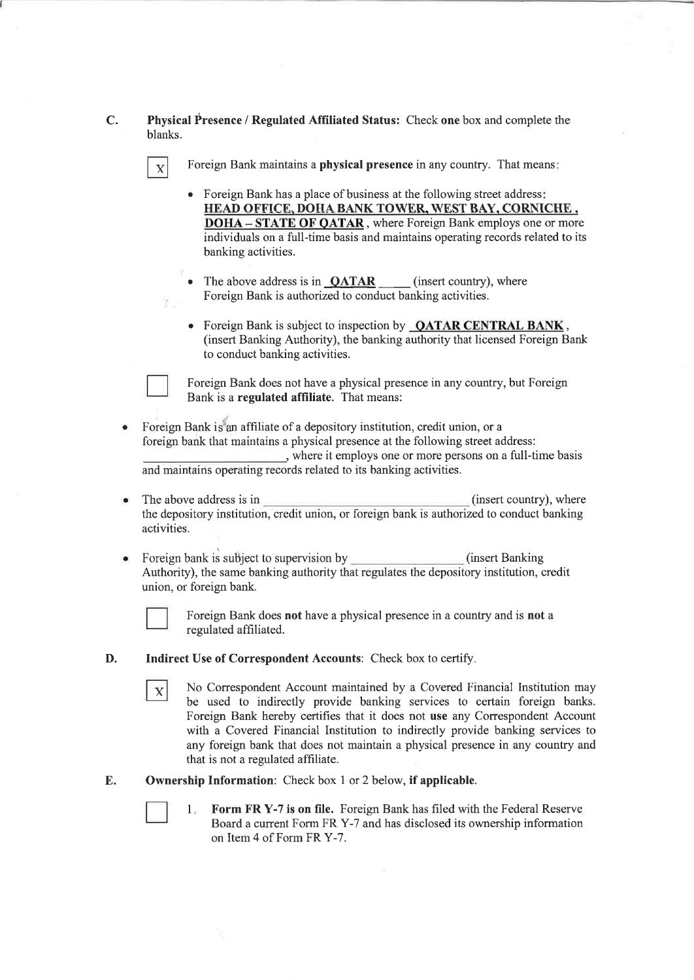- C. Physical Presence / Regulated Affiliated Status: Check one box and complete the blanks.
	- Foreign Bank maintains a **physical presence** in any country. That means:
		- Foreign Bank has a place of business at the following street address: HEAD OFFICE, DOHA BANK TOWER, WEST BAY, CORNICHE, DOHA- STATE OF OATAR, where Foreign Bank employs one or more individuals on a full-time basis and maintains operating records related to its banking activities.
		- The above address is in  $OATAR$  (insert country), where Foreign Bank is authorized to conduct banking activities.
		- Foreign Bank is subject to inspection by **OATAR CENTRAL BANK**, (insert Banking Authority), the banking authority that licensed Foreign Bank to conduct banking activities.



Ÿ.

x

Foreign Bank does not have a physical presence in any country, but Foreign Bank is a regulated affiliate. That means:

- Foreign Bank is an affiliate of a depository institution, credit union, or a foreign bank that maintains a physical presence at the following street address: and maintains operating records related to its banking activities. where it employs one or more persons on a full-time basis o
- The above address is in (insert country), where the depository institution, credit union, or foreign bank is authorized to conduct banking activities.
- Foreign bank is subject to supervision by (insert Banking) Authority), the same banking authority that regulates the depository institution, credit union, or foreign bank. a



Foreign Bank does not have a physical presence in a country and is not a regulated affiliated.

- D. Indirect Use of Correspondent Accounts: Check box to certify.
	- No Correspondent Account maintained by a Covered Financial Institution may be used to indirectly provide banking services to certain foreign banks. Foreign Bank hereby certifies that it does not use any Correspondent Account with a Covered Financial Institution to indirectly provide banking services to any foreign bank that does not maintain a physical presence in any country and that is not a regulated affiliate. X
- E. Ownership Information: Check box 1 or 2 below, if applicable.
	-
- Form FR Y-7 is on file. Foreign Bank has filed with the Federal Reserve Board a current Form FR Y-7 and has disclosed its ownership information on Item 4 of Form FR Y-7.  $1.$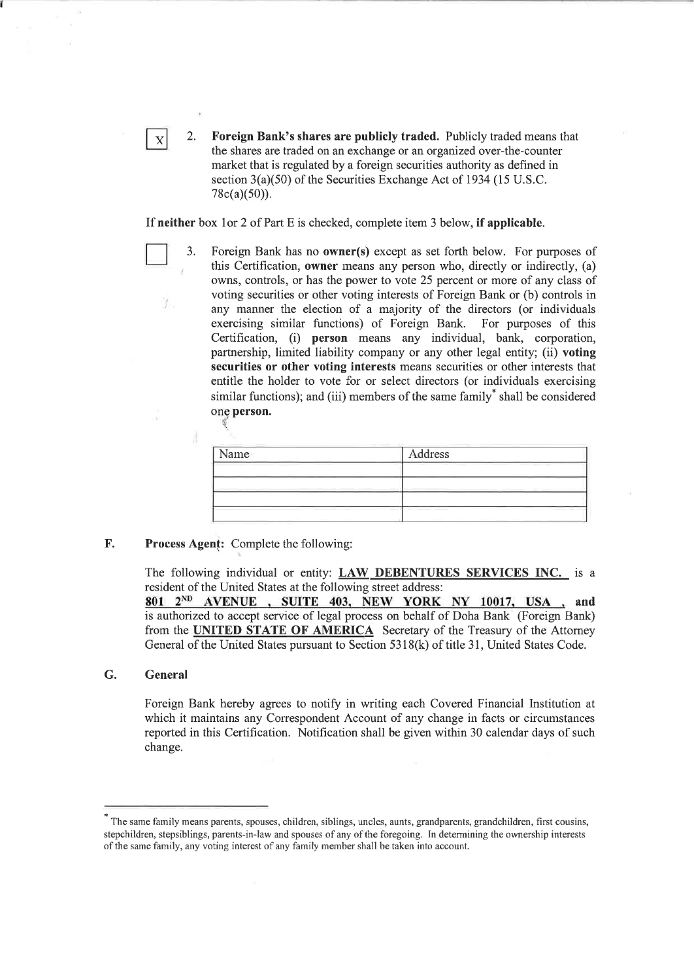$\vert x \vert$  2. Foreign Bank's shares are publicly traded. Publicly traded means that the shares are traded on an exchange or an organized over-the-counter market that is regulated by a foreign securities authority as defined in section  $3(a)(50)$  of the Securities Exchange Act of 1934 (15 U.S.C.  $78c(a)(50)$ .

If neither box 1or 2 of Part E is checked, complete item 3 below, if applicable.

31.

3. Foreign Bank has no owner(s) except as set forth below. For purposes of this Certification, owner means any person who, directly or indirectly, (a) owns, controls, or has the power to vote 25 percent or more of any class of voting securities or other voting interests of Foreign Bank or (b) controls in any manner the election of a majority of the directors (or individuals exercising similar functions) of Foreign Bank. For purposes of this Certification, (i) person means any individual, bank, corporation, partnership, limited liability company or any other legal entity; (ii) voting securities or other voting interests means securities or other interests that entitle the holder to vote for or select directors (or individuals exercising similar functions); and (iii) members of the same family<sup>\*</sup> shall be considered one person. ų.

| Name | Address |  |
|------|---------|--|
|      |         |  |
|      |         |  |
|      |         |  |
|      |         |  |

F. Process Agent: Complete the following:

The following individual or entity: LAW DEBENTURES SERVICES INC. is a resident of the United States at the following street address:

801 2<sup>ND</sup> AVENUE , SUITE 403, NEW YORK NY 10017, USA , and is authorized to accept service of legal process on behalf of Doha Bank (Foreign Bank) from the UNITED STATE OF AMERICA Secretary of the Treasury of the Attomey General of the United States pursuant to Section 5318(k) of title 31, United States Code.

### G. General

Foreign Bank hereby agrees to notify in writing each Covered Financial Institution at which it maintains any Correspondent Account of any change in facts or circumstances reported in this Certification. Notification shall be given within 30 calendar days of such change.

 $\hat{ }$  The same family means parents, spouses, children, siblings, uncles, aunts, grandparents, grandchildren, first cousins, stepchildren, stepsiblings, parents-in-law and spouses of any of the foregoing. In determining the ownership interests of the same family, any voting interest of any family member shall be taken into account.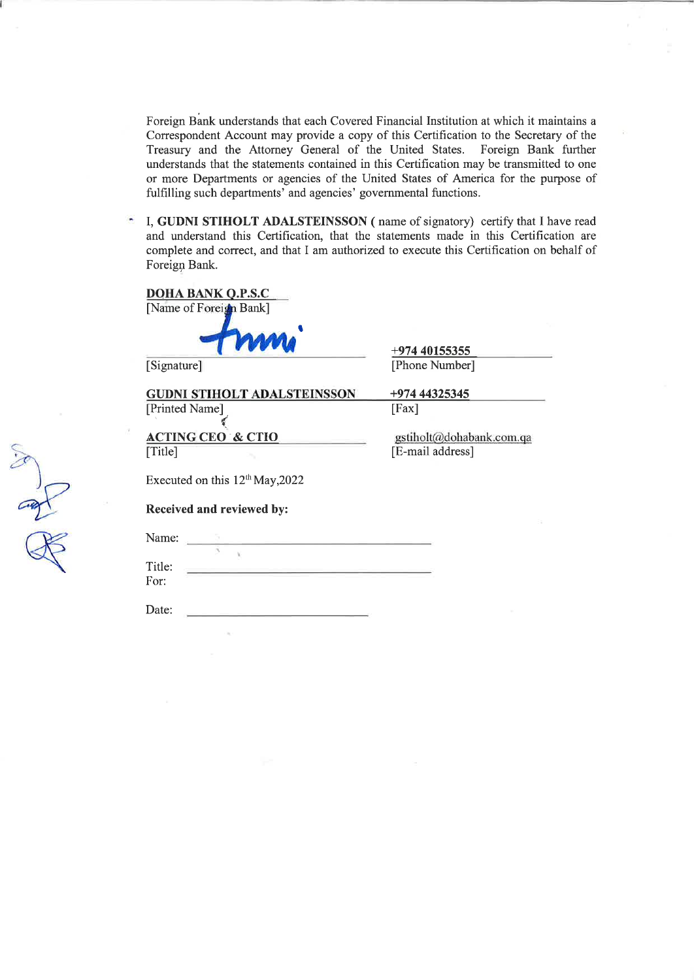Foreign Bank understands that each Covered Financial Institution at which it maintains a Correspondent Account may provide a copy of this Certification to the Secretary of the Treasury and the Attorney General of the United States. Foreign Bank further understands that the statements contained in this Certification may be transmitted to one or more Departments or agencies of the United States of America for the purpose of fulfilling such departments' and agencies' governmental functions.

 $\bullet$ I, GUDNI STIHOLT ADALSTEINSSON ( name of signatory) certify that I have read and understand this Certification, that the statements made in this Certification are complete and correct, and that I am authorized to execute this Certification on behalf of Foreigp Bank.

| <b>DOHA BANK Q.P.S.C</b><br>[Name of Foreign Bank] |                                              |  |  |  |  |
|----------------------------------------------------|----------------------------------------------|--|--|--|--|
| mm                                                 | $+97440155355$                               |  |  |  |  |
| [Signature]                                        | [Phone Number]                               |  |  |  |  |
| <b>GUDNI STIHOLT ADALSTEINSSON</b>                 | +974 44325345                                |  |  |  |  |
| [Printed Name]                                     | $[{\rm Fax}]$                                |  |  |  |  |
| <b>ACTING CEO &amp; CTIO</b><br>[Title]            | gstiholt@dohabank.com.qa<br>[E-mail address] |  |  |  |  |
| Executed on this $12th$ May, 2022                  |                                              |  |  |  |  |
| Received and reviewed by:                          |                                              |  |  |  |  |
| Name:                                              |                                              |  |  |  |  |
|                                                    |                                              |  |  |  |  |
| Title:<br>For:                                     |                                              |  |  |  |  |
| Date:                                              |                                              |  |  |  |  |
|                                                    |                                              |  |  |  |  |

 $R$